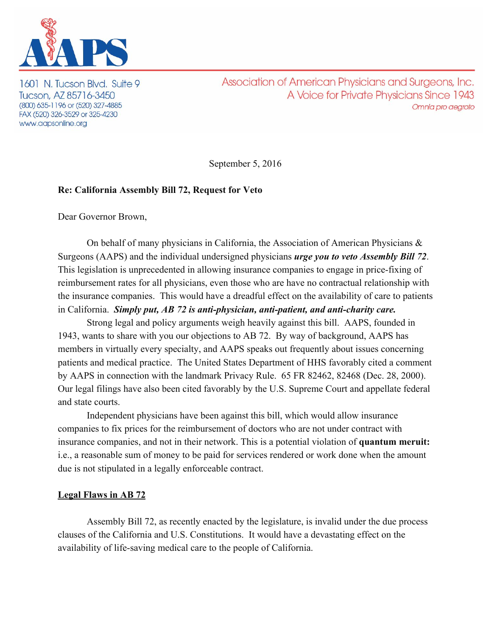

1601 N. Tucson Blvd. Suite 9 Tucson, AZ 85716-3450 (800) 635-1196 or (520) 327-4885 FAX (520) 326-3529 or 325-4230 www.aapsonline.org

Association of American Physicians and Surgeons, Inc. A Voice for Private Physicians Since 1943 Omnia pro aegroto

September 5, 2016

## **Re: California Assembly Bill 72, Request for Veto**

Dear Governor Brown,

On behalf of many physicians in California, the Association of American Physicians  $\&$ Surgeons (AAPS) and the individual undersigned physicians *urge you to veto Assembly Bill 72* . This legislation is unprecedented in allowing insurance companies to engage in price-fixing of reimbursement rates for all physicians, even those who are have no contractual relationship with the insurance companies. This would have a dreadful effect on the availability of care to patients in California. *Simply put, AB 72 is anti-physician, anti-patient, and anti-charity care.* 

Strong legal and policy arguments weigh heavily against this bill. AAPS, founded in 1943, wants to share with you our objections to AB 72. By way of background, AAPS has members in virtually every specialty, and AAPS speaks out frequently about issues concerning patients and medical practice. The United States Department of HHS favorably cited a comment by AAPS in connection with the landmark Privacy Rule. 65 FR 82462, 82468 (Dec. 28, 2000). Our legal filings have also been cited favorably by the U.S. Supreme Court and appellate federal and state courts.

Independent physicians have been against this bill, which would allow insurance companies to fix prices for the reimbursement of doctors who are not under contract with insurance companies, and not in their network. This is a potential violation of **quantum meruit:** i.e., a reasonable sum of money to be paid for services rendered or work done when the amount due is not stipulated in a legally enforceable contract.

## **Legal Flaws in AB 72**

Assembly Bill 72, as recently enacted by the legislature, is invalid under the due process clauses of the California and U.S. Constitutions. It would have a devastating effect on the availability of life-saving medical care to the people of California.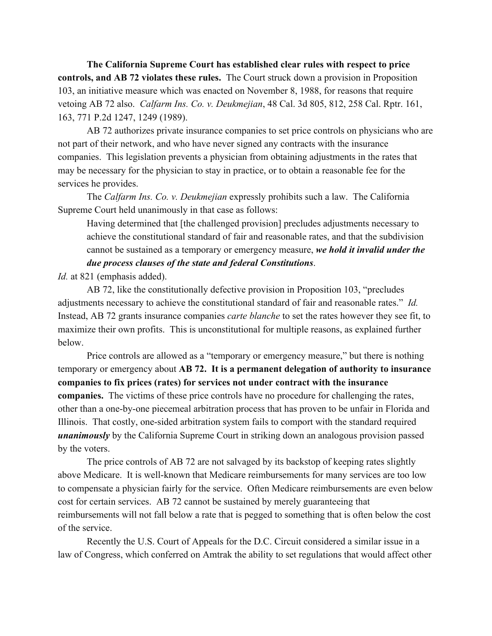**The California Supreme Court has established clear rules with respect to price controls, and AB 72 violates these rules.** The Court struck down a provision in Proposition 103, an initiative measure which was enacted on November 8, 1988, for reasons that require vetoing AB 72 also. *Calfarm Ins. Co. v. Deukmejian*, 48 Cal. 3d 805, 812, 258 Cal. Rptr. 161, 163, 771 P.2d 1247, 1249 (1989).

AB 72 authorizes private insurance companies to set price controls on physicians who are not part of their network, and who have never signed any contracts with the insurance companies. This legislation prevents a physician from obtaining adjustments in the rates that may be necessary for the physician to stay in practice, or to obtain a reasonable fee for the services he provides.

The *Calfarm Ins. Co. v. Deukmejian* expressly prohibits such a law. The California Supreme Court held unanimously in that case as follows:

Having determined that [the challenged provision] precludes adjustments necessary to achieve the constitutional standard of fair and reasonable rates, and that the subdivision cannot be sustained as a temporary or emergency measure, *we hold it invalid under the due process clauses of the state and federal Constitutions* .

*Id.* at 821 (emphasis added).

AB 72, like the constitutionally defective provision in Proposition 103, "precludes adjustments necessary to achieve the constitutional standard of fair and reasonable rates." *Id.* Instead, AB 72 grants insurance companies *carte blanche* to set the rates however they see fit, to maximize their own profits. This is unconstitutional for multiple reasons, as explained further below.

Price controls are allowed as a "temporary or emergency measure," but there is nothing temporary or emergency about **AB 72. It is a permanent delegation of authority to insurance companies to fix prices (rates) for services not under contract with the insurance companies.** The victims of these price controls have no procedure for challenging the rates, other than a one-by-one piecemeal arbitration process that has proven to be unfair in Florida and Illinois. That costly, one-sided arbitration system fails to comport with the standard required *unanimously* by the California Supreme Court in striking down an analogous provision passed by the voters.

The price controls of AB 72 are not salvaged by its backstop of keeping rates slightly above Medicare. It is well-known that Medicare reimbursements for many services are too low to compensate a physician fairly for the service. Often Medicare reimbursements are even below cost for certain services. AB 72 cannot be sustained by merely guaranteeing that reimbursements will not fall below a rate that is pegged to something that is often below the cost of the service.

Recently the U.S. Court of Appeals for the D.C. Circuit considered a similar issue in a law of Congress, which conferred on Amtrak the ability to set regulations that would affect other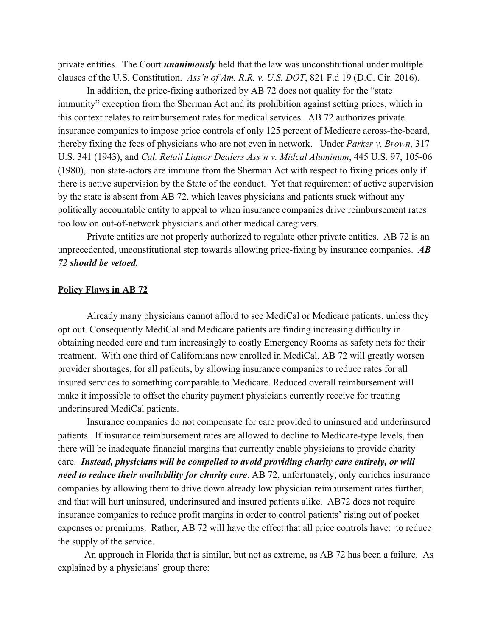private entities. The Court *unanimously* held that the law was unconstitutional under multiple clauses of the U.S. Constitution. *Ass'n of Am. R.R. v. U.S. DOT*, 821 F.d 19 (D.C. Cir. 2016).

In addition, the price-fixing authorized by AB 72 does not quality for the "state" immunity" exception from the Sherman Act and its prohibition against setting prices, which in this context relates to reimbursement rates for medical services. AB 72 authorizes private insurance companies to impose price controls of only 125 percent of Medicare across-the-board, thereby fixing the fees of physicians who are not even in network. Under *Parker v. Brown*, 317 U.S. 341 (1943), and *Cal. Retail Liquor Dealers Ass'n v. Midcal Aluminum*, 445 U.S. 97, 105-06  $(1980)$ , non state-actors are immune from the Sherman Act with respect to fixing prices only if there is active supervision by the State of the conduct. Yet that requirement of active supervision by the state is absent from AB 72, which leaves physicians and patients stuck without any politically accountable entity to appeal to when insurance companies drive reimbursement rates too low on out-of-network physicians and other medical caregivers.

Private entities are not properly authorized to regulate other private entities. AB 72 is an unprecedented, unconstitutional step towards allowing price-fixing by insurance companies. *AB 72 should be vetoed.*

## **Policy Flaws in AB 72**

Already many physicians cannot afford to see MediCal or Medicare patients, unless they opt out. Consequently MediCal and Medicare patients are finding increasing difficulty in obtaining needed care and turn increasingly to costly Emergency Rooms as safety nets for their treatment. With one third of Californians now enrolled in MediCal, AB 72 will greatly worsen provider shortages, for all patients, by allowing insurance companies to reduce rates for all insured services to something comparable to Medicare. Reduced overall reimbursement will make it impossible to offset the charity payment physicians currently receive for treating underinsured MediCal patients.

Insurance companies do not compensate for care provided to uninsured and underinsured patients. If insurance reimbursement rates are allowed to decline to Medicare-type levels, then there will be inadequate financial margins that currently enable physicians to provide charity care. *Instead, physicians will be compelled to avoid providing charity care entirely, or will need to reduce their availability for charity care*. AB 72, unfortunately, only enriches insurance companies by allowing them to drive down already low physician reimbursement rates further, and that will hurt uninsured, underinsured and insured patients alike. AB72 does not require insurance companies to reduce profit margins in order to control patients' rising out of pocket expenses or premiums. Rather, AB 72 will have the effect that all price controls have: to reduce the supply of the service.

 An approach in Florida that is similar, but not as extreme, as AB 72 has been a failure. As explained by a physicians' group there: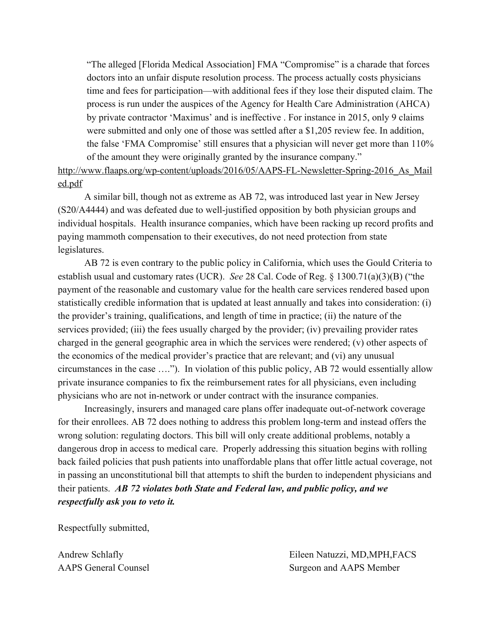"The alleged [Florida Medical Association] FMA "Compromise" is a charade that forces doctors into an unfair dispute resolution process. The process actually costs physicians time and fees for participation—with additional fees if they lose their disputed claim. The process is run under the auspices of the Agency for Health Care Administration (AHCA) by private contractor 'Maximus' and is ineffective . For instance in 2015, only 9 claims were submitted and only one of those was settled after a \$1,205 review fee. In addition, the false 'FMA Compromise' still ensures that a physician will never get more than 110% of the amount they were originally granted by the insurance company."

http://www.flaaps.org/wp-content/uploads/2016/05/AAPS-FL-Newsletter-Spring-2016 As Mail [ed.pdf](http://www.flaaps.org/wp-content/uploads/2016/05/AAPS-FL-Newsletter-Spring-2016_As_Mailed.pdf)

 A similar bill, though not as extreme as AB 72, was introduced last year in New Jersey (S20/A4444) and was defeated due to well-justified opposition by both physician groups and individual hospitals. Health insurance companies, which have been racking up record profits and paying mammoth compensation to their executives, do not need protection from state legislatures.

 AB 72 is even contrary to the public policy in California, which uses the Gould Criteria to establish usual and customary rates (UCR). *See* 28 Cal. Code of Reg. § 1300.71(a)(3)(B) ("the payment of the reasonable and customary value for the health care services rendered based upon statistically credible information that is updated at least annually and takes into consideration: (i) the provider's training, qualifications, and length of time in practice; (ii) the nature of the services provided; (iii) the fees usually charged by the provider; (iv) prevailing provider rates charged in the general geographic area in which the services were rendered; (v) other aspects of the economics of the medical provider's practice that are relevant; and (vi) any unusual circumstances in the case …."). In violation of this public policy, AB 72 would essentially allow private insurance companies to fix the reimbursement rates for all physicians, even including physicians who are not in-network or under contract with the insurance companies.

Increasingly, insurers and managed care plans offer inadequate out-of-network coverage for their enrollees. AB 72 does nothing to address this problem long-term and instead offers the wrong solution: regulating doctors. This bill will only create additional problems, notably a dangerous drop in access to medical care. Properly addressing this situation begins with rolling back failed policies that push patients into unaffordable plans that offer little actual coverage, not in passing an unconstitutional bill that attempts to shift the burden to independent physicians and their patients. *AB 72 violates both State and Federal law, and public policy, and we respectfully ask you to veto it.*

Respectfully submitted,

Andrew Schlafly Eileen Natuzzi, MD,MPH,FACS AAPS General Counsel Surgeon and AAPS Member